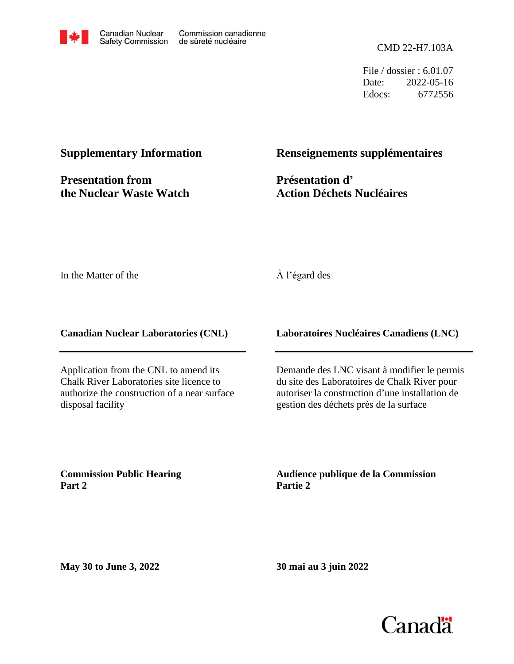

File / dossier : 6.01.07 Date: 2022-05-16 Edocs: 6772556

#### **Supplementary Information**

**Presentation from the Nuclear Waste Watch**

#### **Renseignements supplémentaires**

**Présentation d' Action Déchets Nucléaires**

In the Matter of the

#### À l'égard des

**Canadian Nuclear Laboratories (CNL)**

Application from the CNL to amend its Chalk River Laboratories site licence to authorize the construction of a near surface disposal facility

**Laboratoires Nucléaires Canadiens (LNC)**

Demande des LNC visant à modifier le permis du site des Laboratoires de Chalk River pour autoriser la construction d'une installation de gestion des déchets près de la surface

**Commission Public Hearing Part 2**

**Audience publique de la Commission Partie 2**

**May 30 to June 3, 2022**

**30 mai au 3 juin 2022**

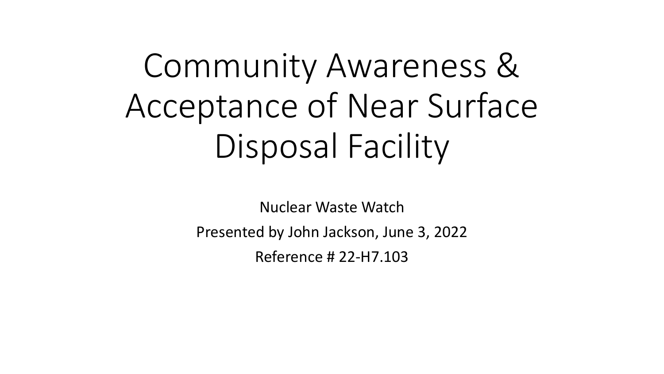# Community Awareness & Acceptance of Near Surface Disposal Facility

Nuclear Waste Watch

Presented by John Jackson, June 3, 2022

Reference # 22-H7.103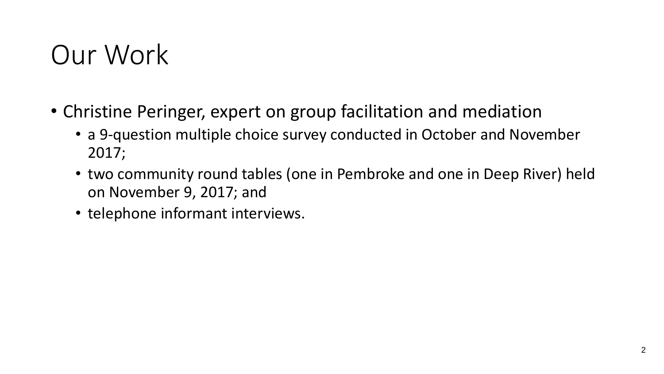### Our Work

- Christine Peringer, expert on group facilitation and mediation
	- a 9-question multiple choice survey conducted in October and November 2017;
	- two community round tables (one in Pembroke and one in Deep River) held on November 9, 2017; and
	- telephone informant interviews.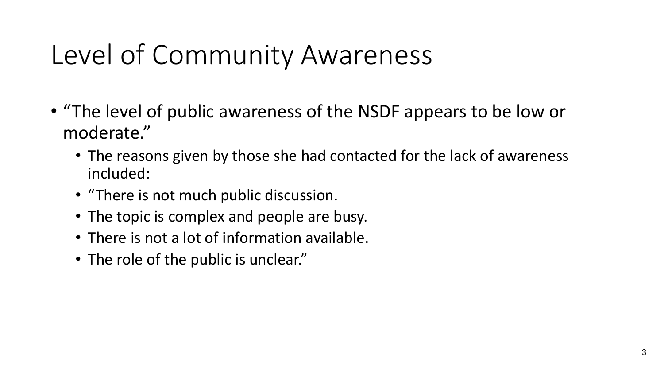## Level of Community Awareness

- "The level of public awareness of the NSDF appears to be low or moderate."
	- The reasons given by those she had contacted for the lack of awareness included:
	- "There is not much public discussion.
	- The topic is complex and people are busy.
	- There is not a lot of information available.
	- The role of the public is unclear."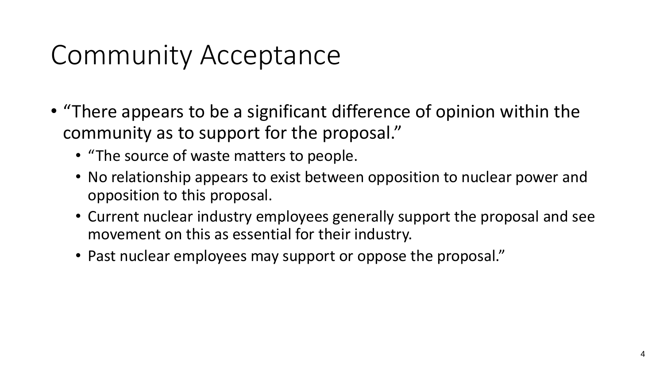# Community Acceptance

- "There appears to be a significant difference of opinion within the community as to support for the proposal."
	- "The source of waste matters to people.
	- No relationship appears to exist between opposition to nuclear power and opposition to this proposal.
	- Current nuclear industry employees generally support the proposal and see movement on this as essential for their industry.
	- Past nuclear employees may support or oppose the proposal."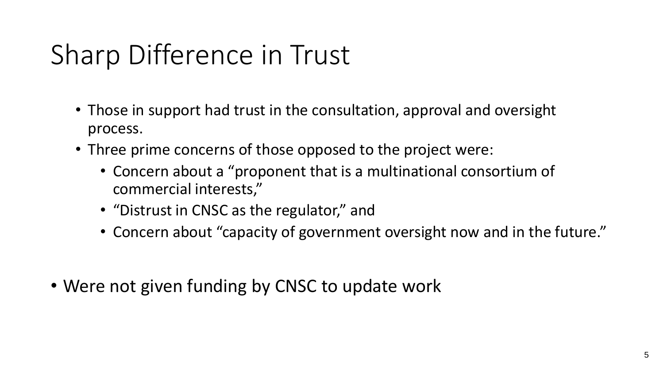# Sharp Difference in Trust

- Those in support had trust in the consultation, approval and oversight process.
- Three prime concerns of those opposed to the project were:
	- Concern about a "proponent that is a multinational consortium of commercial interests,"
	- "Distrust in CNSC as the regulator," and
	- Concern about "capacity of government oversight now and in the future."
- Were not given funding by CNSC to update work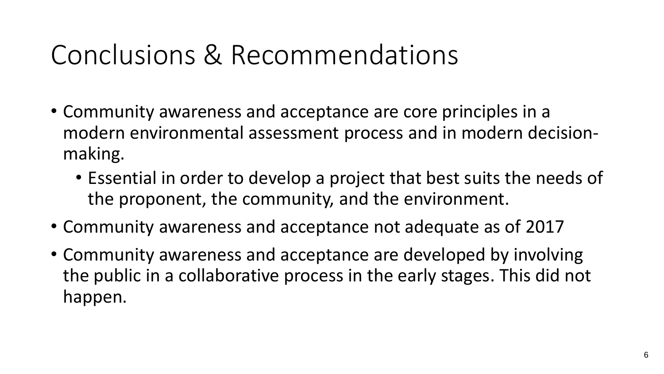### Conclusions & Recommendations

- Community awareness and acceptance are core principles in a modern environmental assessment process and in modern decisionmaking.
	- Essential in order to develop a project that best suits the needs of the proponent, the community, and the environment.
- Community awareness and acceptance not adequate as of 2017
- Community awareness and acceptance are developed by involving the public in a collaborative process in the early stages. This did not happen.